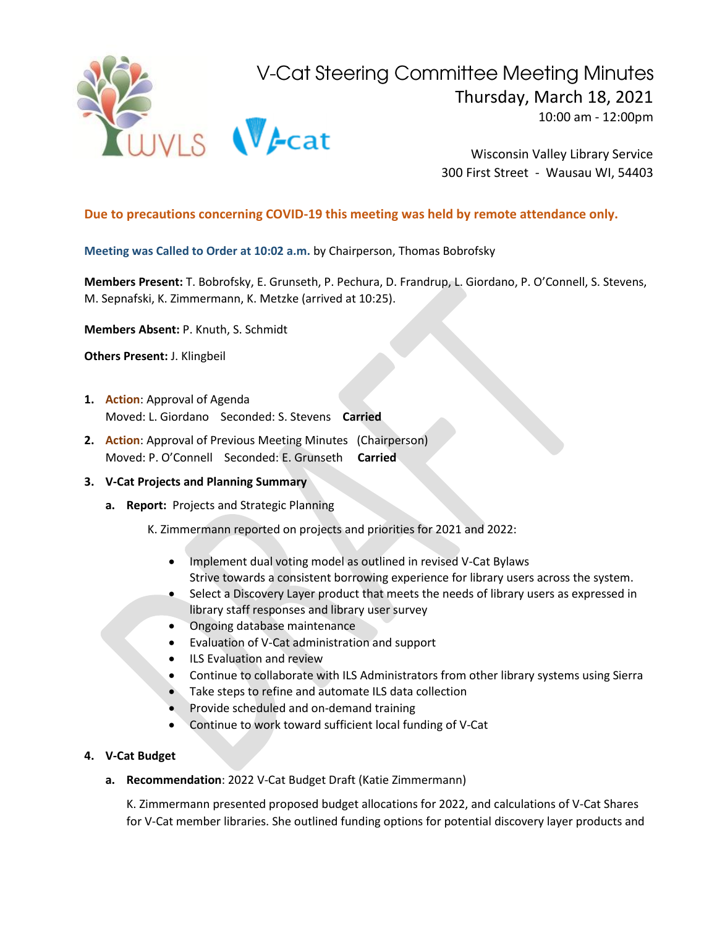

300 First Street - Wausau WI, 54403

### **Due to precautions concerning COVID-19 this meeting was held by remote attendance only.**

### **Meeting was Called to Order at 10:02 a.m.** by Chairperson, Thomas Bobrofsky

**Members Present:** T. Bobrofsky, E. Grunseth, P. Pechura, D. Frandrup, L. Giordano, P. O'Connell, S. Stevens, M. Sepnafski, K. Zimmermann, K. Metzke (arrived at 10:25).

**Members Absent:** P. Knuth, S. Schmidt

**Others Present:** J. Klingbeil

- **1. Action**: Approval of Agenda Moved: L. Giordano Seconded: S. Stevens **Carried**
- **2. Action**: Approval of Previous Meeting Minutes (Chairperson) Moved: P. O'Connell Seconded: E. Grunseth **Carried**

#### **3. V-Cat Projects and Planning Summary**

- **a. Report:** Projects and Strategic Planning
	- K. Zimmermann reported on projects and priorities for 2021 and 2022:
		- Implement dual voting model as outlined in revised V-Cat Bylaws Strive towards a consistent borrowing experience for library users across the system.
		- Select a Discovery Layer product that meets the needs of library users as expressed in library staff responses and library user survey
		- Ongoing database maintenance
		- Evaluation of V-Cat administration and support
		- ILS Evaluation and review
		- Continue to collaborate with ILS Administrators from other library systems using Sierra
		- Take steps to refine and automate ILS data collection
		- Provide scheduled and on-demand training
		- Continue to work toward sufficient local funding of V-Cat

# **4. V-Cat Budget**

**a. Recommendation**: 2022 V-Cat Budget Draft (Katie Zimmermann)

K. Zimmermann presented proposed budget allocations for 2022, and calculations of V-Cat Shares for V-Cat member libraries. She outlined funding options for potential discovery layer products and